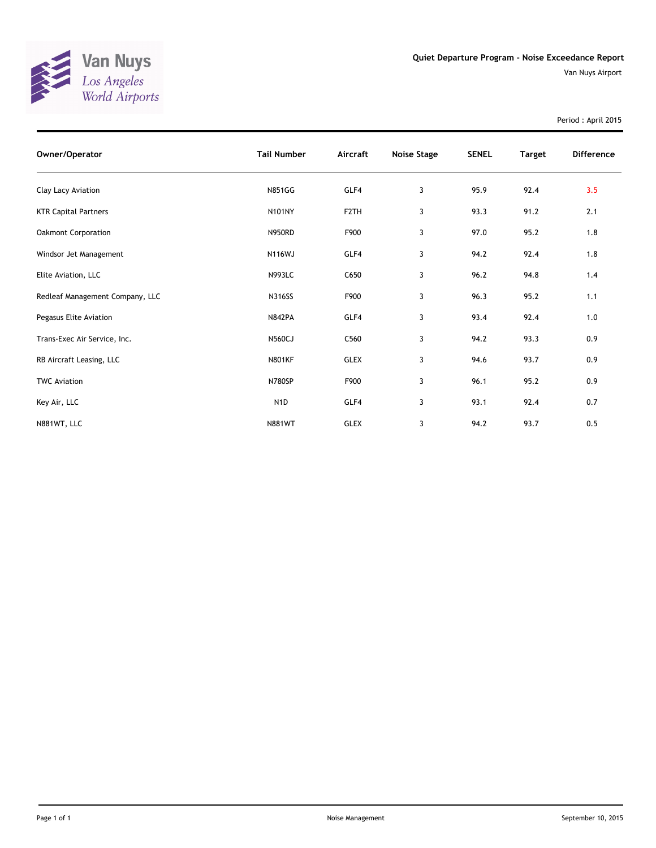

Van Nuys Airport

Period : April 2015

| Owner/Operator                  | <b>Tail Number</b> | Aircraft          | Noise Stage | <b>SENEL</b> | <b>Target</b> | <b>Difference</b> |
|---------------------------------|--------------------|-------------------|-------------|--------------|---------------|-------------------|
| Clay Lacy Aviation              | <b>N851GG</b>      | GLF4              | 3           | 95.9         | 92.4          | 3.5               |
| <b>KTR Capital Partners</b>     | <b>N101NY</b>      | F <sub>2</sub> TH | 3           | 93.3         | 91.2          | 2.1               |
| <b>Oakmont Corporation</b>      | <b>N950RD</b>      | F900              | 3           | 97.0         | 95.2          | 1.8               |
| Windsor Jet Management          | <b>N116WJ</b>      | GLF4              | 3           | 94.2         | 92.4          | 1.8               |
| Elite Aviation, LLC             | <b>N993LC</b>      | C650              | 3           | 96.2         | 94.8          | 1.4               |
| Redleaf Management Company, LLC | <b>N316SS</b>      | F900              | 3           | 96.3         | 95.2          | 1.1               |
| Pegasus Elite Aviation          | <b>N842PA</b>      | GLF4              | 3           | 93.4         | 92.4          | 1.0               |
| Trans-Exec Air Service, Inc.    | <b>N560CJ</b>      | C560              | 3           | 94.2         | 93.3          | 0.9               |
| RB Aircraft Leasing, LLC        | <b>N801KF</b>      | <b>GLEX</b>       | 3           | 94.6         | 93.7          | 0.9               |
| <b>TWC Aviation</b>             | N780SP             | F900              | 3           | 96.1         | 95.2          | 0.9               |
| Key Air, LLC                    | N <sub>1</sub> D   | GLF4              | 3           | 93.1         | 92.4          | 0.7               |
| N881WT, LLC                     | <b>N881WT</b>      | <b>GLEX</b>       | 3           | 94.2         | 93.7          | 0.5               |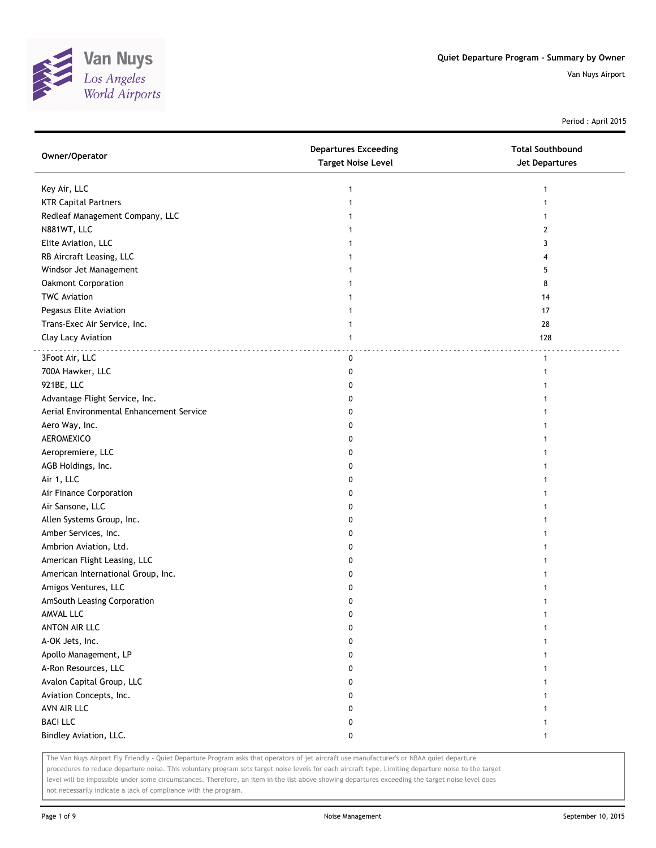

Period : April 2015

| Owner/Operator                           | <b>Departures Exceeding</b><br><b>Target Noise Level</b> | <b>Total Southbound</b><br><b>Jet Departures</b> |
|------------------------------------------|----------------------------------------------------------|--------------------------------------------------|
| Key Air, LLC                             | 1                                                        | -1                                               |
| <b>KTR Capital Partners</b>              |                                                          |                                                  |
| Redleaf Management Company, LLC          |                                                          |                                                  |
| N881WT, LLC                              |                                                          | 2                                                |
| Elite Aviation, LLC                      |                                                          | 3                                                |
| RB Aircraft Leasing, LLC                 |                                                          | 4                                                |
| Windsor Jet Management                   |                                                          | 5                                                |
| Oakmont Corporation                      |                                                          | 8                                                |
| <b>TWC Aviation</b>                      |                                                          | 14                                               |
| Pegasus Elite Aviation                   |                                                          | 17                                               |
| Trans-Exec Air Service, Inc.             | 1                                                        | 28                                               |
| Clay Lacy Aviation                       | $\mathbf{1}$                                             | 128                                              |
| 3Foot Air, LLC                           | 0                                                        | .<br>$\mathbf{1}$                                |
| 700A Hawker, LLC                         | 0                                                        |                                                  |
| 921BE, LLC                               | 0                                                        |                                                  |
| Advantage Flight Service, Inc.           | 0                                                        |                                                  |
| Aerial Environmental Enhancement Service | 0                                                        |                                                  |
| Aero Way, Inc.                           | 0                                                        |                                                  |
| AEROMEXICO                               | 0                                                        |                                                  |
| Aeropremiere, LLC                        | 0                                                        |                                                  |
| AGB Holdings, Inc.                       | 0                                                        |                                                  |
| Air 1, LLC                               | 0                                                        |                                                  |
| Air Finance Corporation                  | 0                                                        |                                                  |
| Air Sansone, LLC                         | 0                                                        |                                                  |
| Allen Systems Group, Inc.                | 0                                                        |                                                  |
| Amber Services, Inc.                     | 0                                                        |                                                  |
| Ambrion Aviation, Ltd.                   | 0                                                        |                                                  |
| American Flight Leasing, LLC             | 0                                                        |                                                  |
| American International Group, Inc.       | 0                                                        |                                                  |
| Amigos Ventures, LLC                     | 0                                                        |                                                  |
| AmSouth Leasing Corporation              | 0                                                        |                                                  |
| AMVAL LLC                                | 0                                                        |                                                  |
| ANTON AIR LLC                            | 0                                                        |                                                  |
| A-OK Jets, Inc.                          | 0                                                        |                                                  |
| Apollo Management, LP                    | 0                                                        |                                                  |
| A-Ron Resources, LLC                     | 0                                                        |                                                  |
| Avalon Capital Group, LLC                | 0                                                        |                                                  |
| Aviation Concepts, Inc.                  | 0                                                        |                                                  |
| AVN AIR LLC                              | 0                                                        |                                                  |
| <b>BACI LLC</b>                          | 0                                                        |                                                  |
| Bindley Aviation, LLC.                   | 0                                                        | 1                                                |

The Van Nuys Airport Fly Friendly - Quiet Departure Program asks that operators of jet aircraft use manufacturer's or NBAA quiet departure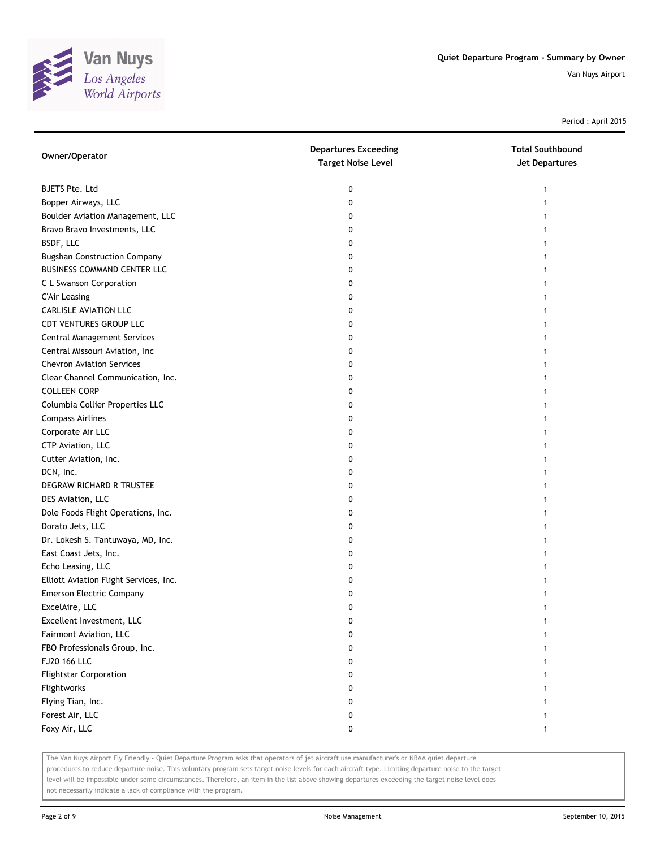

Period : April 2015

| Owner/Operator                         | <b>Departures Exceeding</b><br><b>Target Noise Level</b> | <b>Total Southbound</b><br><b>Jet Departures</b> |
|----------------------------------------|----------------------------------------------------------|--------------------------------------------------|
| <b>BJETS Pte. Ltd</b>                  | 0                                                        | 1                                                |
| Bopper Airways, LLC                    | 0                                                        |                                                  |
| Boulder Aviation Management, LLC       | 0                                                        |                                                  |
| Bravo Bravo Investments, LLC           | 0                                                        |                                                  |
| BSDF, LLC                              | 0                                                        |                                                  |
| <b>Bugshan Construction Company</b>    | 0                                                        | 1                                                |
| <b>BUSINESS COMMAND CENTER LLC</b>     | 0                                                        |                                                  |
| C L Swanson Corporation                | 0                                                        |                                                  |
| <b>C'Air Leasing</b>                   | 0                                                        |                                                  |
| <b>CARLISLE AVIATION LLC</b>           | 0                                                        |                                                  |
| CDT VENTURES GROUP LLC                 | 0                                                        |                                                  |
| <b>Central Management Services</b>     | 0                                                        |                                                  |
| Central Missouri Aviation, Inc         | 0                                                        |                                                  |
| <b>Chevron Aviation Services</b>       | 0                                                        |                                                  |
| Clear Channel Communication, Inc.      | 0                                                        |                                                  |
| <b>COLLEEN CORP</b>                    | 0                                                        |                                                  |
| Columbia Collier Properties LLC        | 0                                                        |                                                  |
| <b>Compass Airlines</b>                | 0                                                        |                                                  |
| Corporate Air LLC                      | 0                                                        |                                                  |
| CTP Aviation, LLC                      | 0                                                        |                                                  |
| Cutter Aviation, Inc.                  | 0                                                        |                                                  |
| DCN, Inc.                              | 0                                                        |                                                  |
| DEGRAW RICHARD R TRUSTEE               | 0                                                        |                                                  |
| DES Aviation, LLC                      | 0                                                        |                                                  |
| Dole Foods Flight Operations, Inc.     | 0                                                        |                                                  |
| Dorato Jets, LLC                       | 0                                                        |                                                  |
| Dr. Lokesh S. Tantuwaya, MD, Inc.      | 0                                                        |                                                  |
| East Coast Jets, Inc.                  | 0                                                        |                                                  |
| Echo Leasing, LLC                      | 0                                                        |                                                  |
| Elliott Aviation Flight Services, Inc. | 0                                                        |                                                  |
| Emerson Electric Company               | 0                                                        |                                                  |
| ExcelAire, LLC                         | 0                                                        |                                                  |
| Excellent Investment, LLC              | 0                                                        |                                                  |
| Fairmont Aviation, LLC                 | 0                                                        |                                                  |
| FBO Professionals Group, Inc.          | 0                                                        |                                                  |
| FJ20 166 LLC                           | 0                                                        |                                                  |
| <b>Flightstar Corporation</b>          | 0                                                        |                                                  |
| Flightworks                            | 0                                                        |                                                  |
| Flying Tian, Inc.                      | 0                                                        |                                                  |
| Forest Air, LLC                        | 0                                                        |                                                  |
| Foxy Air, LLC                          | 0                                                        | 1                                                |
|                                        |                                                          |                                                  |

The Van Nuys Airport Fly Friendly - Quiet Departure Program asks that operators of jet aircraft use manufacturer's or NBAA quiet departure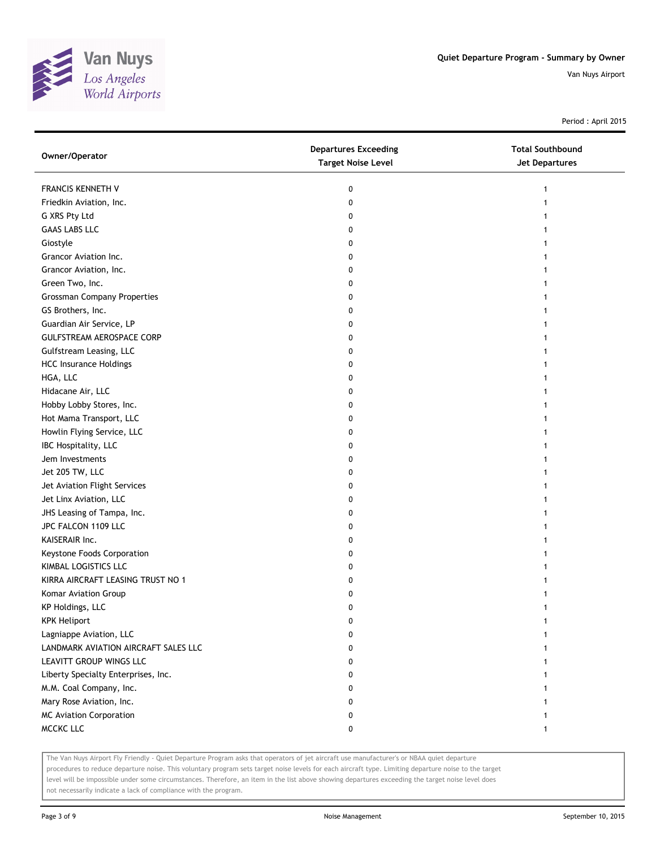

Period : April 2015

| Owner/Operator                       | <b>Departures Exceeding</b><br><b>Target Noise Level</b> | <b>Total Southbound</b><br>Jet Departures |
|--------------------------------------|----------------------------------------------------------|-------------------------------------------|
| FRANCIS KENNETH V                    | 0                                                        | 1                                         |
| Friedkin Aviation, Inc.              | 0                                                        |                                           |
| G XRS Pty Ltd                        | 0                                                        |                                           |
| <b>GAAS LABS LLC</b>                 | 0                                                        |                                           |
| Giostyle                             | 0                                                        |                                           |
| Grancor Aviation Inc.                | 0                                                        | 1                                         |
| Grancor Aviation, Inc.               | 0                                                        |                                           |
| Green Two, Inc.                      | 0                                                        |                                           |
| <b>Grossman Company Properties</b>   | 0                                                        |                                           |
| GS Brothers, Inc.                    | 0                                                        |                                           |
| Guardian Air Service, LP             | 0                                                        |                                           |
| GULFSTREAM AEROSPACE CORP            | 0                                                        |                                           |
| Gulfstream Leasing, LLC              | 0                                                        |                                           |
| <b>HCC Insurance Holdings</b>        | 0                                                        |                                           |
| HGA, LLC                             | 0                                                        |                                           |
| Hidacane Air, LLC                    | 0                                                        |                                           |
| Hobby Lobby Stores, Inc.             | 0                                                        |                                           |
| Hot Mama Transport, LLC              | 0                                                        |                                           |
| Howlin Flying Service, LLC           | 0                                                        |                                           |
| IBC Hospitality, LLC                 | 0                                                        |                                           |
| Jem Investments                      | 0                                                        |                                           |
| Jet 205 TW, LLC                      | 0                                                        |                                           |
| Jet Aviation Flight Services         | 0                                                        |                                           |
| Jet Linx Aviation, LLC               | 0                                                        |                                           |
| JHS Leasing of Tampa, Inc.           | 0                                                        |                                           |
| JPC FALCON 1109 LLC                  | 0                                                        | 1                                         |
| KAISERAIR Inc.                       | 0                                                        |                                           |
| Keystone Foods Corporation           | 0                                                        |                                           |
| KIMBAL LOGISTICS LLC                 | 0                                                        |                                           |
| KIRRA AIRCRAFT LEASING TRUST NO 1    | 0                                                        |                                           |
| Komar Aviation Group                 | 0                                                        |                                           |
| KP Holdings, LLC                     | 0                                                        |                                           |
| <b>KPK Heliport</b>                  | 0                                                        |                                           |
| Lagniappe Aviation, LLC              | 0                                                        |                                           |
| LANDMARK AVIATION AIRCRAFT SALES LLC | 0                                                        |                                           |
| LEAVITT GROUP WINGS LLC              | 0                                                        |                                           |
| Liberty Specialty Enterprises, Inc.  | 0                                                        |                                           |
| M.M. Coal Company, Inc.              | 0                                                        |                                           |
| Mary Rose Aviation, Inc.             | 0                                                        |                                           |
| <b>MC Aviation Corporation</b>       | 0                                                        |                                           |
| MCCKC LLC                            | 0                                                        | $\mathbf{1}$                              |

The Van Nuys Airport Fly Friendly - Quiet Departure Program asks that operators of jet aircraft use manufacturer's or NBAA quiet departure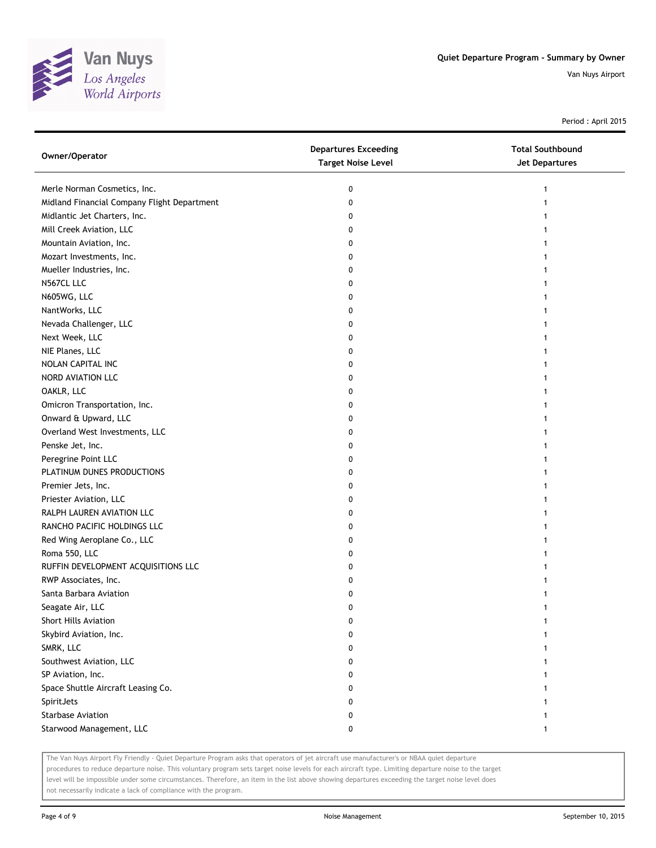

Period : April 2015

| Owner/Operator                              | <b>Departures Exceeding</b><br><b>Target Noise Level</b> | <b>Total Southbound</b><br><b>Jet Departures</b> |
|---------------------------------------------|----------------------------------------------------------|--------------------------------------------------|
| Merle Norman Cosmetics, Inc.                | 0                                                        |                                                  |
| Midland Financial Company Flight Department | 0                                                        |                                                  |
| Midlantic Jet Charters, Inc.                | 0                                                        |                                                  |
| Mill Creek Aviation, LLC                    | 0                                                        |                                                  |
| Mountain Aviation, Inc.                     | 0                                                        |                                                  |
| Mozart Investments, Inc.                    | 0                                                        |                                                  |
| Mueller Industries, Inc.                    | 0                                                        |                                                  |
| N567CL LLC                                  | 0                                                        |                                                  |
| N605WG, LLC                                 | 0                                                        |                                                  |
| NantWorks, LLC                              | 0                                                        |                                                  |
| Nevada Challenger, LLC                      | 0                                                        |                                                  |
| Next Week, LLC                              | 0                                                        |                                                  |
| NIE Planes, LLC                             | 0                                                        |                                                  |
| NOLAN CAPITAL INC                           | 0                                                        |                                                  |
| NORD AVIATION LLC                           | 0                                                        |                                                  |
| OAKLR, LLC                                  | 0                                                        |                                                  |
| Omicron Transportation, Inc.                | 0                                                        |                                                  |
| Onward & Upward, LLC                        | 0                                                        |                                                  |
| Overland West Investments, LLC              | 0                                                        |                                                  |
| Penske Jet, Inc.                            | 0                                                        |                                                  |
| Peregrine Point LLC                         | 0                                                        |                                                  |
| PLATINUM DUNES PRODUCTIONS                  | 0                                                        |                                                  |
| Premier Jets, Inc.                          | 0                                                        |                                                  |
| Priester Aviation, LLC                      | 0                                                        |                                                  |
| RALPH LAUREN AVIATION LLC                   | 0                                                        |                                                  |
| RANCHO PACIFIC HOLDINGS LLC                 | 0                                                        |                                                  |
| Red Wing Aeroplane Co., LLC                 | 0                                                        |                                                  |
| Roma 550, LLC                               | 0                                                        |                                                  |
| RUFFIN DEVELOPMENT ACQUISITIONS LLC         | 0                                                        |                                                  |
| RWP Associates, Inc.                        | 0                                                        |                                                  |
| Santa Barbara Aviation                      | 0                                                        |                                                  |
| Seagate Air, LLC                            | 0                                                        |                                                  |
| Short Hills Aviation                        | 0                                                        |                                                  |
| Skybird Aviation, Inc.                      | 0                                                        |                                                  |
| SMRK, LLC                                   | 0                                                        |                                                  |
| Southwest Aviation, LLC                     | 0                                                        |                                                  |
| SP Aviation, Inc.                           | 0                                                        |                                                  |
| Space Shuttle Aircraft Leasing Co.          | 0                                                        |                                                  |
| SpiritJets                                  | 0                                                        |                                                  |
| Starbase Aviation                           | 0                                                        |                                                  |
| Starwood Management, LLC                    | 0                                                        | 1                                                |

The Van Nuys Airport Fly Friendly - Quiet Departure Program asks that operators of jet aircraft use manufacturer's or NBAA quiet departure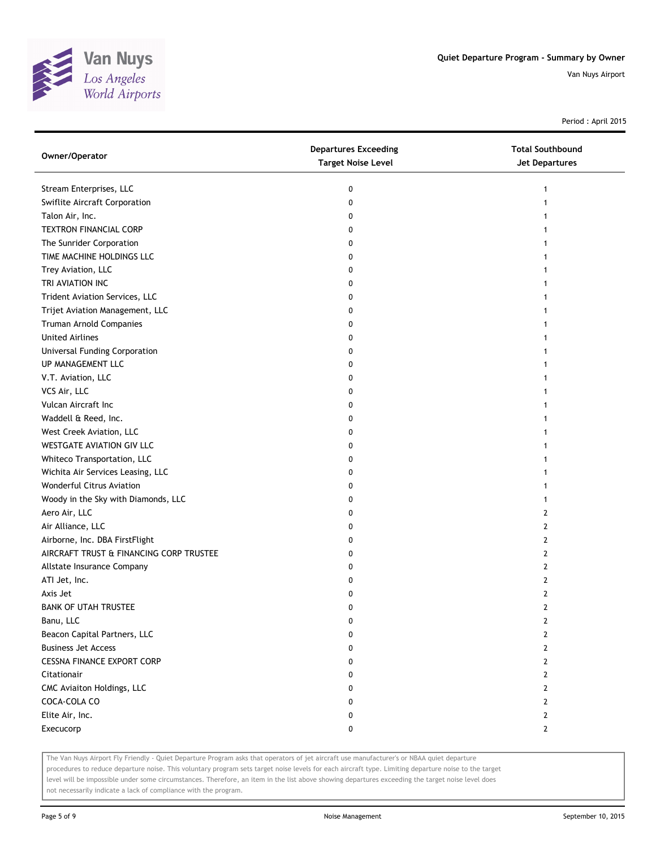

Period : April 2015

| Owner/Operator                          | <b>Departures Exceeding</b><br><b>Target Noise Level</b> | <b>Total Southbound</b><br>Jet Departures |
|-----------------------------------------|----------------------------------------------------------|-------------------------------------------|
| Stream Enterprises, LLC                 | 0                                                        | 1                                         |
| Swiflite Aircraft Corporation           | 0                                                        |                                           |
| Talon Air, Inc.                         | 0                                                        |                                           |
| <b>TEXTRON FINANCIAL CORP</b>           | 0                                                        |                                           |
| The Sunrider Corporation                | 0                                                        |                                           |
| TIME MACHINE HOLDINGS LLC               | 0                                                        |                                           |
| Trey Aviation, LLC                      | 0                                                        |                                           |
| TRI AVIATION INC                        | 0                                                        |                                           |
| Trident Aviation Services, LLC          | 0                                                        |                                           |
| Trijet Aviation Management, LLC         | 0                                                        |                                           |
| Truman Arnold Companies                 | 0                                                        |                                           |
| <b>United Airlines</b>                  | 0                                                        |                                           |
| Universal Funding Corporation           | 0                                                        |                                           |
| UP MANAGEMENT LLC                       | 0                                                        |                                           |
| V.T. Aviation, LLC                      | 0                                                        |                                           |
| VCS Air, LLC                            | 0                                                        |                                           |
| Vulcan Aircraft Inc                     | 0                                                        |                                           |
| Waddell & Reed, Inc.                    | 0                                                        |                                           |
| West Creek Aviation, LLC                | 0                                                        |                                           |
| WESTGATE AVIATION GIV LLC               | 0                                                        |                                           |
| Whiteco Transportation, LLC             | 0                                                        |                                           |
| Wichita Air Services Leasing, LLC       | 0                                                        |                                           |
| Wonderful Citrus Aviation               | 0                                                        |                                           |
| Woody in the Sky with Diamonds, LLC     | 0                                                        |                                           |
| Aero Air, LLC                           | 0                                                        | 2                                         |
| Air Alliance, LLC                       | 0                                                        | 2                                         |
| Airborne, Inc. DBA FirstFlight          | 0                                                        | 2                                         |
| AIRCRAFT TRUST & FINANCING CORP TRUSTEE | 0                                                        | 2                                         |
| Allstate Insurance Company              | 0                                                        | 2                                         |
| ATI Jet, Inc.                           | 0                                                        | 2                                         |
| Axis Jet                                | 0                                                        | $\overline{2}$                            |
| <b>BANK OF UTAH TRUSTEE</b>             | 0                                                        | $\overline{2}$                            |
| Banu, LLC                               | 0                                                        | 2                                         |
| Beacon Capital Partners, LLC            | 0                                                        | 2                                         |
| <b>Business Jet Access</b>              | 0                                                        | 2                                         |
| <b>CESSNA FINANCE EXPORT CORP</b>       | 0                                                        | 2                                         |
| Citationair                             | 0                                                        | 2                                         |
| CMC Aviaiton Holdings, LLC              | 0                                                        | 2                                         |
| COCA-COLA CO                            | 0                                                        | 2                                         |
| Elite Air, Inc.                         | 0                                                        | $\mathbf{2}$                              |
| Execucorp                               | 0                                                        | $\overline{2}$                            |

The Van Nuys Airport Fly Friendly - Quiet Departure Program asks that operators of jet aircraft use manufacturer's or NBAA quiet departure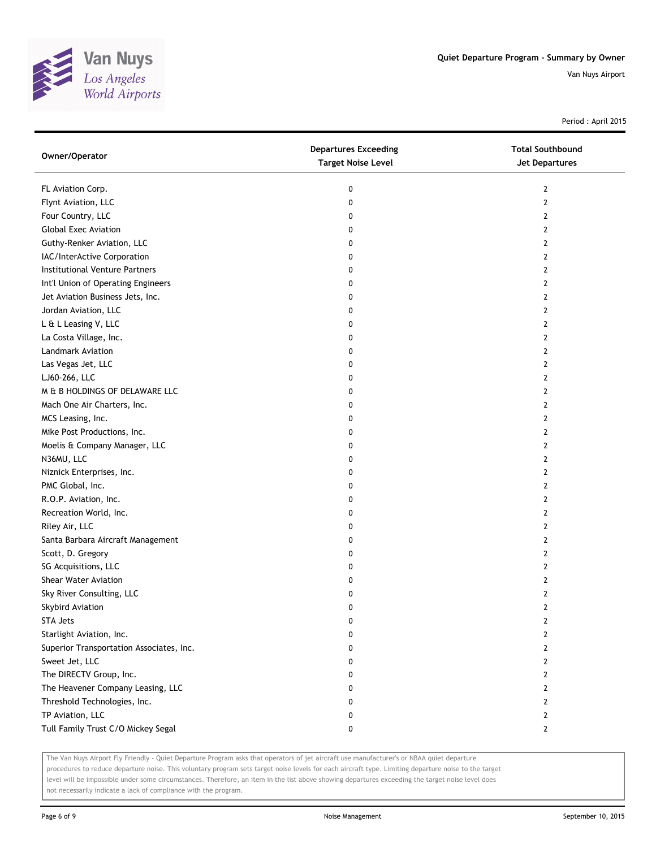

Period : April 2015

| Owner/Operator                           | <b>Departures Exceeding</b><br><b>Target Noise Level</b> | <b>Total Southbound</b><br>Jet Departures |
|------------------------------------------|----------------------------------------------------------|-------------------------------------------|
| FL Aviation Corp.                        | 0                                                        | 2                                         |
| Flynt Aviation, LLC                      | 0                                                        | 2                                         |
| Four Country, LLC                        | 0                                                        | 2                                         |
| <b>Global Exec Aviation</b>              | 0                                                        | 2                                         |
| Guthy-Renker Aviation, LLC               | 0                                                        | 2                                         |
| IAC/InterActive Corporation              | 0                                                        | 2                                         |
| Institutional Venture Partners           | 0                                                        | 2                                         |
| Int'l Union of Operating Engineers       | 0                                                        | 2                                         |
| Jet Aviation Business Jets, Inc.         | 0                                                        | $\overline{2}$                            |
| Jordan Aviation, LLC                     | 0                                                        | $\overline{2}$                            |
| L & L Leasing V, LLC                     | 0                                                        | $\overline{2}$                            |
| La Costa Village, Inc.                   | 0                                                        | $\overline{2}$                            |
| <b>Landmark Aviation</b>                 | 0                                                        | 2                                         |
| Las Vegas Jet, LLC                       | 0                                                        | $\overline{2}$                            |
| LJ60-266, LLC                            | 0                                                        | 2                                         |
| M & B HOLDINGS OF DELAWARE LLC           | 0                                                        | 2                                         |
| Mach One Air Charters, Inc.              | 0                                                        | 2                                         |
| MCS Leasing, Inc.                        | 0                                                        | 2                                         |
| Mike Post Productions, Inc.              | 0                                                        | $\overline{2}$                            |
| Moelis & Company Manager, LLC            | 0                                                        | 2                                         |
| N36MU, LLC                               | 0                                                        | 2                                         |
| Niznick Enterprises, Inc.                | 0                                                        | 2                                         |
| PMC Global, Inc.                         | 0                                                        | 2                                         |
| R.O.P. Aviation, Inc.                    | 0                                                        | $\overline{2}$                            |
| Recreation World, Inc.                   | 0                                                        | 2                                         |
| Riley Air, LLC                           | 0                                                        | 2                                         |
| Santa Barbara Aircraft Management        | 0                                                        | 2                                         |
| Scott, D. Gregory                        | 0                                                        | $\overline{2}$                            |
| SG Acquisitions, LLC                     | 0                                                        | $\overline{2}$                            |
| Shear Water Aviation                     | 0                                                        | 2                                         |
| Sky River Consulting, LLC                | 0                                                        | 2                                         |
| Skybird Aviation                         | 0                                                        | 2                                         |
| <b>STA Jets</b>                          | 0                                                        | 2                                         |
| Starlight Aviation, Inc.                 | 0                                                        | 2                                         |
| Superior Transportation Associates, Inc. | 0                                                        | 2                                         |
| Sweet Jet, LLC                           | 0                                                        | 2                                         |
| The DIRECTV Group, Inc.                  | 0                                                        | 2                                         |
| The Heavener Company Leasing, LLC        | 0                                                        | 2                                         |
| Threshold Technologies, Inc.             | 0                                                        | $\overline{2}$                            |
| TP Aviation, LLC                         | 0                                                        | 2                                         |
| Tull Family Trust C/O Mickey Segal       | 0                                                        | $\mathbf{2}$                              |

The Van Nuys Airport Fly Friendly - Quiet Departure Program asks that operators of jet aircraft use manufacturer's or NBAA quiet departure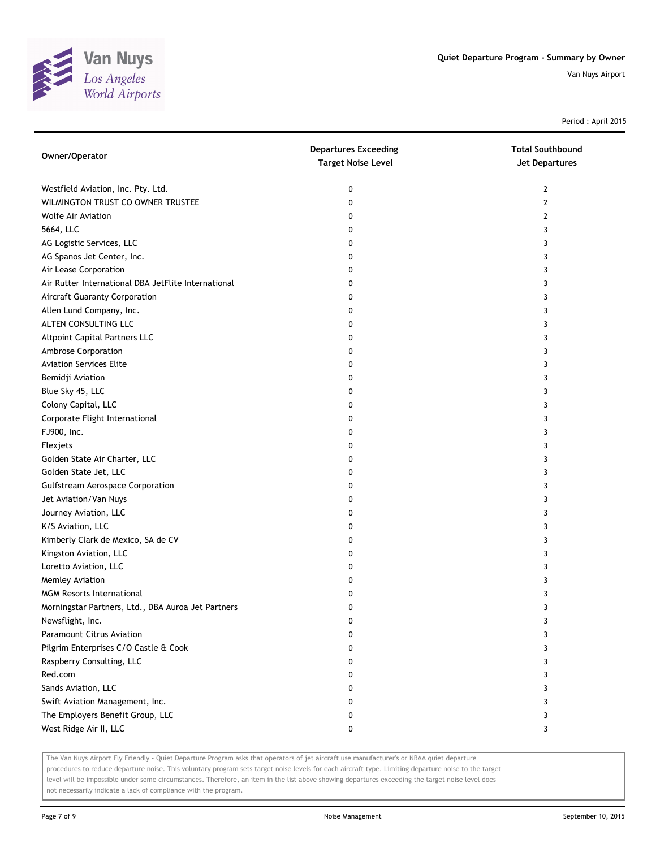

Period : April 2015

| Westfield Aviation, Inc. Pty. Ltd.<br>0<br>2<br>WILMINGTON TRUST CO OWNER TRUSTEE<br>$\overline{2}$<br>0<br><b>Wolfe Air Aviation</b><br>2<br>0<br>5664, LLC<br>0<br>3<br>AG Logistic Services, LLC<br>0<br>3<br>AG Spanos Jet Center, Inc.<br>0<br>3<br>Air Lease Corporation<br>0<br>3<br>Air Rutter International DBA JetFlite International<br>0<br>3<br>Aircraft Guaranty Corporation<br>0<br>3<br>Allen Lund Company, Inc.<br>0<br>3<br>ALTEN CONSULTING LLC<br>0<br>3<br>Altpoint Capital Partners LLC<br>0<br>3<br>Ambrose Corporation<br>3<br>0<br><b>Aviation Services Elite</b><br>3<br>0<br>Bemidji Aviation<br>3<br>0<br>Blue Sky 45, LLC<br>0<br>3<br>Colony Capital, LLC<br>0<br>3<br>Corporate Flight International<br>0<br>3<br>FJ900, Inc.<br>0<br>3<br>Flexjets<br>0<br>3<br>Golden State Air Charter, LLC<br>0<br>3<br>Golden State Jet, LLC<br>0<br>3<br><b>Gulfstream Aerospace Corporation</b><br>3<br>0<br>Jet Aviation/Van Nuys<br>0<br>3<br>Journey Aviation, LLC<br>3<br>0<br>K/S Aviation, LLC<br>0<br>3<br>Kimberly Clark de Mexico, SA de CV<br>0<br>3<br>Kingston Aviation, LLC<br>0<br>3<br>Loretto Aviation, LLC<br>0<br>3<br>Memley Aviation<br>0<br>3<br><b>MGM Resorts International</b><br>0<br>3<br>Morningstar Partners, Ltd., DBA Auroa Jet Partners<br>0<br>3<br>Newsflight, Inc.<br>0<br>3<br><b>Paramount Citrus Aviation</b><br>0<br>3<br>Pilgrim Enterprises C/O Castle & Cook<br>0<br>3<br>Raspberry Consulting, LLC<br>0<br>3<br>Red.com<br>0<br>3<br>Sands Aviation, LLC<br>0<br>3<br>Swift Aviation Management, Inc.<br>0<br>3<br>The Employers Benefit Group, LLC<br>0<br>3<br>West Ridge Air II, LLC<br>0<br>3 | Owner/Operator | <b>Departures Exceeding</b><br><b>Target Noise Level</b> | <b>Total Southbound</b><br><b>Jet Departures</b> |
|-------------------------------------------------------------------------------------------------------------------------------------------------------------------------------------------------------------------------------------------------------------------------------------------------------------------------------------------------------------------------------------------------------------------------------------------------------------------------------------------------------------------------------------------------------------------------------------------------------------------------------------------------------------------------------------------------------------------------------------------------------------------------------------------------------------------------------------------------------------------------------------------------------------------------------------------------------------------------------------------------------------------------------------------------------------------------------------------------------------------------------------------------------------------------------------------------------------------------------------------------------------------------------------------------------------------------------------------------------------------------------------------------------------------------------------------------------------------------------------------------------------------------------------------------------------------------------------------------------------------------------------------------------------------|----------------|----------------------------------------------------------|--------------------------------------------------|
|                                                                                                                                                                                                                                                                                                                                                                                                                                                                                                                                                                                                                                                                                                                                                                                                                                                                                                                                                                                                                                                                                                                                                                                                                                                                                                                                                                                                                                                                                                                                                                                                                                                                   |                |                                                          |                                                  |
|                                                                                                                                                                                                                                                                                                                                                                                                                                                                                                                                                                                                                                                                                                                                                                                                                                                                                                                                                                                                                                                                                                                                                                                                                                                                                                                                                                                                                                                                                                                                                                                                                                                                   |                |                                                          |                                                  |
|                                                                                                                                                                                                                                                                                                                                                                                                                                                                                                                                                                                                                                                                                                                                                                                                                                                                                                                                                                                                                                                                                                                                                                                                                                                                                                                                                                                                                                                                                                                                                                                                                                                                   |                |                                                          |                                                  |
|                                                                                                                                                                                                                                                                                                                                                                                                                                                                                                                                                                                                                                                                                                                                                                                                                                                                                                                                                                                                                                                                                                                                                                                                                                                                                                                                                                                                                                                                                                                                                                                                                                                                   |                |                                                          |                                                  |
|                                                                                                                                                                                                                                                                                                                                                                                                                                                                                                                                                                                                                                                                                                                                                                                                                                                                                                                                                                                                                                                                                                                                                                                                                                                                                                                                                                                                                                                                                                                                                                                                                                                                   |                |                                                          |                                                  |
|                                                                                                                                                                                                                                                                                                                                                                                                                                                                                                                                                                                                                                                                                                                                                                                                                                                                                                                                                                                                                                                                                                                                                                                                                                                                                                                                                                                                                                                                                                                                                                                                                                                                   |                |                                                          |                                                  |
|                                                                                                                                                                                                                                                                                                                                                                                                                                                                                                                                                                                                                                                                                                                                                                                                                                                                                                                                                                                                                                                                                                                                                                                                                                                                                                                                                                                                                                                                                                                                                                                                                                                                   |                |                                                          |                                                  |
|                                                                                                                                                                                                                                                                                                                                                                                                                                                                                                                                                                                                                                                                                                                                                                                                                                                                                                                                                                                                                                                                                                                                                                                                                                                                                                                                                                                                                                                                                                                                                                                                                                                                   |                |                                                          |                                                  |
|                                                                                                                                                                                                                                                                                                                                                                                                                                                                                                                                                                                                                                                                                                                                                                                                                                                                                                                                                                                                                                                                                                                                                                                                                                                                                                                                                                                                                                                                                                                                                                                                                                                                   |                |                                                          |                                                  |
|                                                                                                                                                                                                                                                                                                                                                                                                                                                                                                                                                                                                                                                                                                                                                                                                                                                                                                                                                                                                                                                                                                                                                                                                                                                                                                                                                                                                                                                                                                                                                                                                                                                                   |                |                                                          |                                                  |
|                                                                                                                                                                                                                                                                                                                                                                                                                                                                                                                                                                                                                                                                                                                                                                                                                                                                                                                                                                                                                                                                                                                                                                                                                                                                                                                                                                                                                                                                                                                                                                                                                                                                   |                |                                                          |                                                  |
|                                                                                                                                                                                                                                                                                                                                                                                                                                                                                                                                                                                                                                                                                                                                                                                                                                                                                                                                                                                                                                                                                                                                                                                                                                                                                                                                                                                                                                                                                                                                                                                                                                                                   |                |                                                          |                                                  |
|                                                                                                                                                                                                                                                                                                                                                                                                                                                                                                                                                                                                                                                                                                                                                                                                                                                                                                                                                                                                                                                                                                                                                                                                                                                                                                                                                                                                                                                                                                                                                                                                                                                                   |                |                                                          |                                                  |
|                                                                                                                                                                                                                                                                                                                                                                                                                                                                                                                                                                                                                                                                                                                                                                                                                                                                                                                                                                                                                                                                                                                                                                                                                                                                                                                                                                                                                                                                                                                                                                                                                                                                   |                |                                                          |                                                  |
|                                                                                                                                                                                                                                                                                                                                                                                                                                                                                                                                                                                                                                                                                                                                                                                                                                                                                                                                                                                                                                                                                                                                                                                                                                                                                                                                                                                                                                                                                                                                                                                                                                                                   |                |                                                          |                                                  |
|                                                                                                                                                                                                                                                                                                                                                                                                                                                                                                                                                                                                                                                                                                                                                                                                                                                                                                                                                                                                                                                                                                                                                                                                                                                                                                                                                                                                                                                                                                                                                                                                                                                                   |                |                                                          |                                                  |
|                                                                                                                                                                                                                                                                                                                                                                                                                                                                                                                                                                                                                                                                                                                                                                                                                                                                                                                                                                                                                                                                                                                                                                                                                                                                                                                                                                                                                                                                                                                                                                                                                                                                   |                |                                                          |                                                  |
|                                                                                                                                                                                                                                                                                                                                                                                                                                                                                                                                                                                                                                                                                                                                                                                                                                                                                                                                                                                                                                                                                                                                                                                                                                                                                                                                                                                                                                                                                                                                                                                                                                                                   |                |                                                          |                                                  |
|                                                                                                                                                                                                                                                                                                                                                                                                                                                                                                                                                                                                                                                                                                                                                                                                                                                                                                                                                                                                                                                                                                                                                                                                                                                                                                                                                                                                                                                                                                                                                                                                                                                                   |                |                                                          |                                                  |
|                                                                                                                                                                                                                                                                                                                                                                                                                                                                                                                                                                                                                                                                                                                                                                                                                                                                                                                                                                                                                                                                                                                                                                                                                                                                                                                                                                                                                                                                                                                                                                                                                                                                   |                |                                                          |                                                  |
|                                                                                                                                                                                                                                                                                                                                                                                                                                                                                                                                                                                                                                                                                                                                                                                                                                                                                                                                                                                                                                                                                                                                                                                                                                                                                                                                                                                                                                                                                                                                                                                                                                                                   |                |                                                          |                                                  |
|                                                                                                                                                                                                                                                                                                                                                                                                                                                                                                                                                                                                                                                                                                                                                                                                                                                                                                                                                                                                                                                                                                                                                                                                                                                                                                                                                                                                                                                                                                                                                                                                                                                                   |                |                                                          |                                                  |
|                                                                                                                                                                                                                                                                                                                                                                                                                                                                                                                                                                                                                                                                                                                                                                                                                                                                                                                                                                                                                                                                                                                                                                                                                                                                                                                                                                                                                                                                                                                                                                                                                                                                   |                |                                                          |                                                  |
|                                                                                                                                                                                                                                                                                                                                                                                                                                                                                                                                                                                                                                                                                                                                                                                                                                                                                                                                                                                                                                                                                                                                                                                                                                                                                                                                                                                                                                                                                                                                                                                                                                                                   |                |                                                          |                                                  |
|                                                                                                                                                                                                                                                                                                                                                                                                                                                                                                                                                                                                                                                                                                                                                                                                                                                                                                                                                                                                                                                                                                                                                                                                                                                                                                                                                                                                                                                                                                                                                                                                                                                                   |                |                                                          |                                                  |
|                                                                                                                                                                                                                                                                                                                                                                                                                                                                                                                                                                                                                                                                                                                                                                                                                                                                                                                                                                                                                                                                                                                                                                                                                                                                                                                                                                                                                                                                                                                                                                                                                                                                   |                |                                                          |                                                  |
|                                                                                                                                                                                                                                                                                                                                                                                                                                                                                                                                                                                                                                                                                                                                                                                                                                                                                                                                                                                                                                                                                                                                                                                                                                                                                                                                                                                                                                                                                                                                                                                                                                                                   |                |                                                          |                                                  |
|                                                                                                                                                                                                                                                                                                                                                                                                                                                                                                                                                                                                                                                                                                                                                                                                                                                                                                                                                                                                                                                                                                                                                                                                                                                                                                                                                                                                                                                                                                                                                                                                                                                                   |                |                                                          |                                                  |
|                                                                                                                                                                                                                                                                                                                                                                                                                                                                                                                                                                                                                                                                                                                                                                                                                                                                                                                                                                                                                                                                                                                                                                                                                                                                                                                                                                                                                                                                                                                                                                                                                                                                   |                |                                                          |                                                  |
|                                                                                                                                                                                                                                                                                                                                                                                                                                                                                                                                                                                                                                                                                                                                                                                                                                                                                                                                                                                                                                                                                                                                                                                                                                                                                                                                                                                                                                                                                                                                                                                                                                                                   |                |                                                          |                                                  |
|                                                                                                                                                                                                                                                                                                                                                                                                                                                                                                                                                                                                                                                                                                                                                                                                                                                                                                                                                                                                                                                                                                                                                                                                                                                                                                                                                                                                                                                                                                                                                                                                                                                                   |                |                                                          |                                                  |
|                                                                                                                                                                                                                                                                                                                                                                                                                                                                                                                                                                                                                                                                                                                                                                                                                                                                                                                                                                                                                                                                                                                                                                                                                                                                                                                                                                                                                                                                                                                                                                                                                                                                   |                |                                                          |                                                  |
|                                                                                                                                                                                                                                                                                                                                                                                                                                                                                                                                                                                                                                                                                                                                                                                                                                                                                                                                                                                                                                                                                                                                                                                                                                                                                                                                                                                                                                                                                                                                                                                                                                                                   |                |                                                          |                                                  |
|                                                                                                                                                                                                                                                                                                                                                                                                                                                                                                                                                                                                                                                                                                                                                                                                                                                                                                                                                                                                                                                                                                                                                                                                                                                                                                                                                                                                                                                                                                                                                                                                                                                                   |                |                                                          |                                                  |
|                                                                                                                                                                                                                                                                                                                                                                                                                                                                                                                                                                                                                                                                                                                                                                                                                                                                                                                                                                                                                                                                                                                                                                                                                                                                                                                                                                                                                                                                                                                                                                                                                                                                   |                |                                                          |                                                  |
|                                                                                                                                                                                                                                                                                                                                                                                                                                                                                                                                                                                                                                                                                                                                                                                                                                                                                                                                                                                                                                                                                                                                                                                                                                                                                                                                                                                                                                                                                                                                                                                                                                                                   |                |                                                          |                                                  |
|                                                                                                                                                                                                                                                                                                                                                                                                                                                                                                                                                                                                                                                                                                                                                                                                                                                                                                                                                                                                                                                                                                                                                                                                                                                                                                                                                                                                                                                                                                                                                                                                                                                                   |                |                                                          |                                                  |
|                                                                                                                                                                                                                                                                                                                                                                                                                                                                                                                                                                                                                                                                                                                                                                                                                                                                                                                                                                                                                                                                                                                                                                                                                                                                                                                                                                                                                                                                                                                                                                                                                                                                   |                |                                                          |                                                  |
|                                                                                                                                                                                                                                                                                                                                                                                                                                                                                                                                                                                                                                                                                                                                                                                                                                                                                                                                                                                                                                                                                                                                                                                                                                                                                                                                                                                                                                                                                                                                                                                                                                                                   |                |                                                          |                                                  |
|                                                                                                                                                                                                                                                                                                                                                                                                                                                                                                                                                                                                                                                                                                                                                                                                                                                                                                                                                                                                                                                                                                                                                                                                                                                                                                                                                                                                                                                                                                                                                                                                                                                                   |                |                                                          |                                                  |
|                                                                                                                                                                                                                                                                                                                                                                                                                                                                                                                                                                                                                                                                                                                                                                                                                                                                                                                                                                                                                                                                                                                                                                                                                                                                                                                                                                                                                                                                                                                                                                                                                                                                   |                |                                                          |                                                  |

The Van Nuys Airport Fly Friendly - Quiet Departure Program asks that operators of jet aircraft use manufacturer's or NBAA quiet departure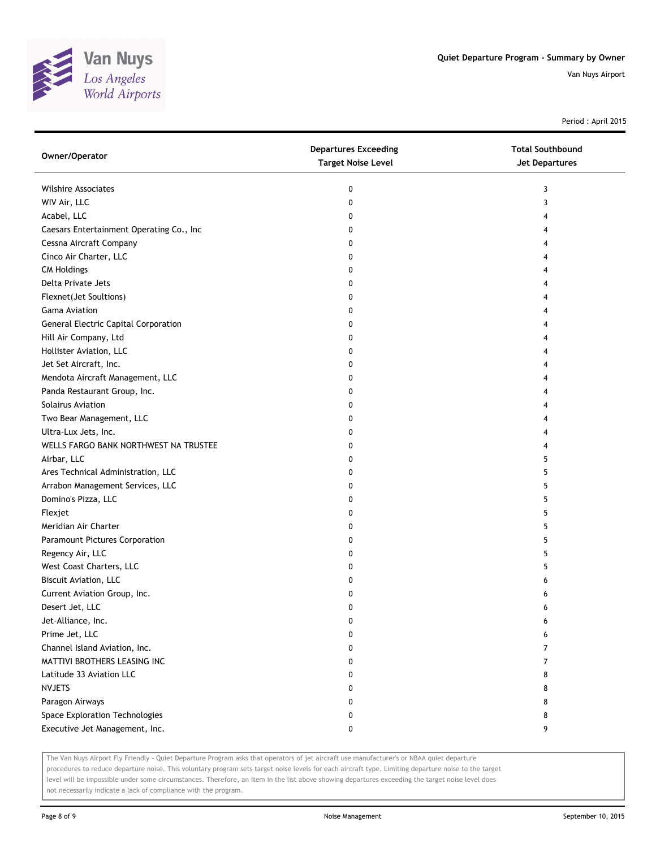

Period : April 2015

| Owner/Operator                           | <b>Departures Exceeding</b><br><b>Target Noise Level</b> | <b>Total Southbound</b><br><b>Jet Departures</b> |
|------------------------------------------|----------------------------------------------------------|--------------------------------------------------|
| <b>Wilshire Associates</b>               | 0                                                        | 3                                                |
| WIV Air, LLC                             | 0                                                        | 3                                                |
| Acabel, LLC                              | 0                                                        | 4                                                |
| Caesars Entertainment Operating Co., Inc | 0                                                        | 4                                                |
| Cessna Aircraft Company                  | 0                                                        | 4                                                |
| Cinco Air Charter, LLC                   | 0                                                        | 4                                                |
| <b>CM Holdings</b>                       | 0                                                        | 4                                                |
| Delta Private Jets                       | 0                                                        | 4                                                |
| Flexnet(Jet Soultions)                   | 0                                                        | 4                                                |
| <b>Gama Aviation</b>                     | 0                                                        | 4                                                |
| General Electric Capital Corporation     | 0                                                        | 4                                                |
| Hill Air Company, Ltd                    | 0                                                        | 4                                                |
| Hollister Aviation, LLC                  | 0                                                        | 4                                                |
| Jet Set Aircraft, Inc.                   | 0                                                        | 4                                                |
| Mendota Aircraft Management, LLC         | 0                                                        | 4                                                |
| Panda Restaurant Group, Inc.             | 0                                                        | 4                                                |
| Solairus Aviation                        | 0                                                        | 4                                                |
| Two Bear Management, LLC                 | 0                                                        | 4                                                |
| Ultra-Lux Jets, Inc.                     | 0                                                        | 4                                                |
| WELLS FARGO BANK NORTHWEST NA TRUSTEE    | 0                                                        | 4                                                |
| Airbar, LLC                              | 0                                                        | 5                                                |
| Ares Technical Administration, LLC       | 0                                                        | 5                                                |
| Arrabon Management Services, LLC         | 0                                                        | 5                                                |
| Domino's Pizza, LLC                      | 0                                                        | 5                                                |
| Flexjet                                  | 0                                                        | 5                                                |
| Meridian Air Charter                     | 0                                                        | 5                                                |
| Paramount Pictures Corporation           | 0                                                        | 5                                                |
| Regency Air, LLC                         | 0                                                        | 5                                                |
| West Coast Charters, LLC                 | 0                                                        | 5                                                |
| Biscuit Aviation, LLC                    | 0                                                        | 6                                                |
| Current Aviation Group, Inc.             | 0                                                        | 6                                                |
| Desert Jet, LLC                          | 0                                                        | 6                                                |
| Jet-Alliance, Inc.                       | 0                                                        | 6                                                |
| Prime Jet, LLC                           | 0                                                        | 6                                                |
| Channel Island Aviation, Inc.            | 0                                                        | 7                                                |
| MATTIVI BROTHERS LEASING INC             | 0                                                        | 7                                                |
| Latitude 33 Aviation LLC                 | 0                                                        | 8                                                |
| <b>NVJETS</b>                            | 0                                                        | 8                                                |
| Paragon Airways                          | 0                                                        | 8                                                |
| Space Exploration Technologies           | 0                                                        | 8                                                |
| Executive Jet Management, Inc.           | 0                                                        | 9                                                |

The Van Nuys Airport Fly Friendly - Quiet Departure Program asks that operators of jet aircraft use manufacturer's or NBAA quiet departure